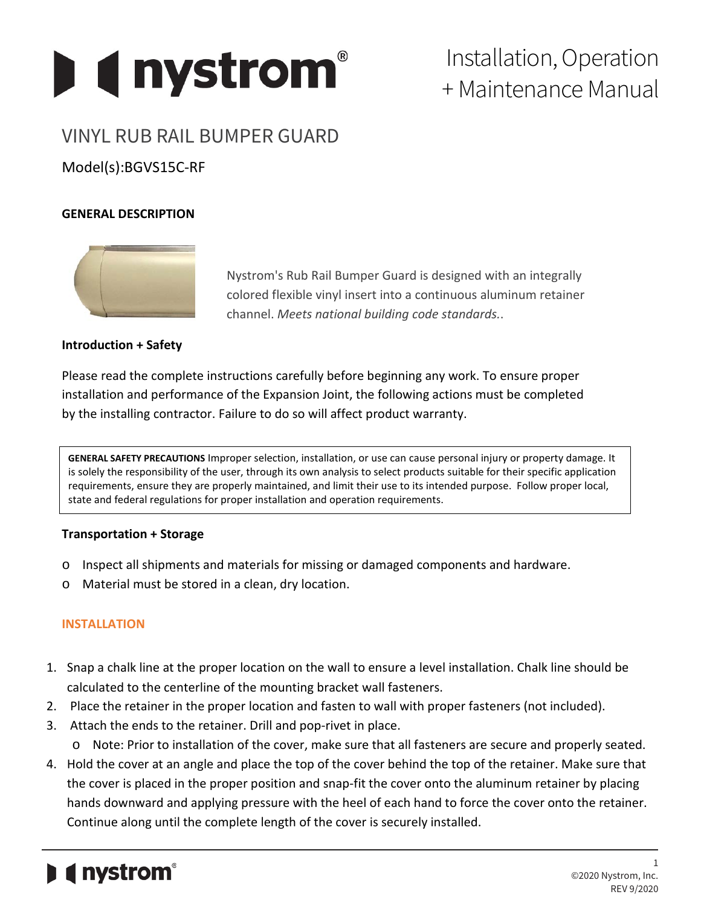

# Installation, Operation + Maintenance Manual

## VINYL RUB RAIL BUMPER GUARD

### Model(s):BGVS15C-RF

#### **GENERAL DESCRIPTION**



Nystrom's Rub Rail Bumper Guard is designed with an integrally colored flexible vinyl insert into a continuous aluminum retainer channel. *Meets national building code standards.*.

#### **Introduction + Safety**

Please read the complete instructions carefully before beginning any work. To ensure proper installation and performance of the Expansion Joint, the following actions must be completed by the installing contractor. Failure to do so will affect product warranty.

**GENERAL SAFETY PRECAUTIONS** Improper selection, installation, or use can cause personal injury or property damage. It is solely the responsibility of the user, through its own analysis to select products suitable for their specific application requirements, ensure they are properly maintained, and limit their use to its intended purpose. Follow proper local, state and federal regulations for proper installation and operation requirements.

#### **Transportation + Storage**

- o Inspect all shipments and materials for missing or damaged components and hardware.
- o Material must be stored in a clean, dry location.

#### **INSTALLATION**

- 1. Snap a chalk line at the proper location on the wall to ensure a level installation. Chalk line should be calculated to the centerline of the mounting bracket wall fasteners.
- 2. Place the retainer in the proper location and fasten to wall with proper fasteners (not included).
- 3. Attach the ends to the retainer. Drill and pop-rivet in place.
	- o Note: Prior to installation of the cover, make sure that all fasteners are secure and properly seated.
- 4. Hold the cover at an angle and place the top of the cover behind the top of the retainer. Make sure that the cover is placed in the proper position and snap-fit the cover onto the aluminum retainer by placing hands downward and applying pressure with the heel of each hand to force the cover onto the retainer. Continue along until the complete length of the cover is securely installed.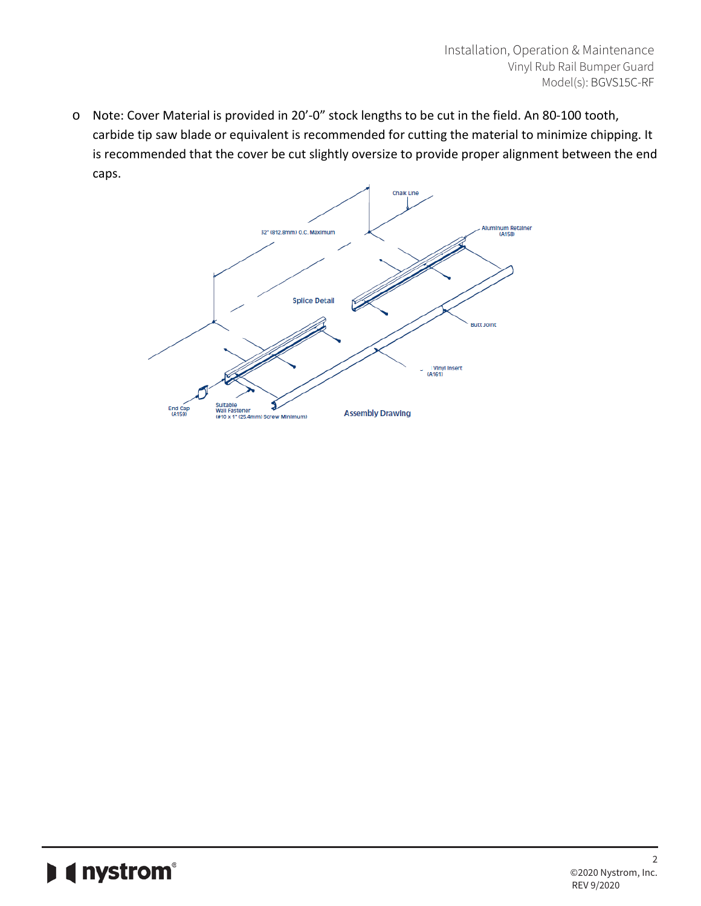o Note: Cover Material is provided in 20'-0" stock lengths to be cut in the field. An 80-100 tooth, carbide tip saw blade or equivalent is recommended for cutting the material to minimize chipping. It is recommended that the cover be cut slightly oversize to provide proper alignment between the end caps.

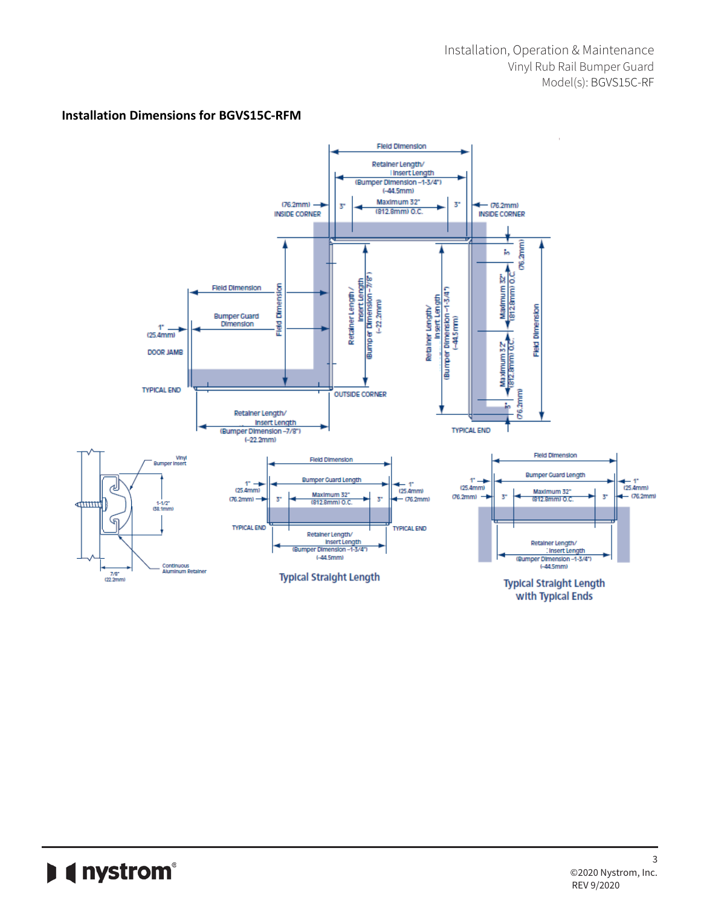#### **Installation Dimensions for BGVS15C-RFM**